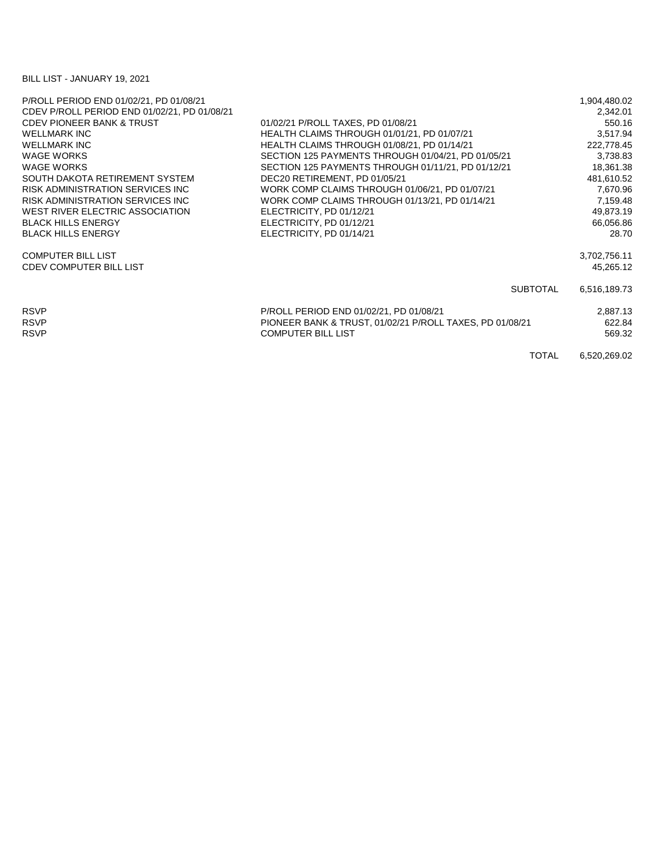## BILL LIST - JANUARY 19, 2021

| P/ROLL PERIOD END 01/02/21, PD 01/08/21      |                                                          |                 | 1,904,480.02 |
|----------------------------------------------|----------------------------------------------------------|-----------------|--------------|
| CDEV P/ROLL PERIOD END 01/02/21, PD 01/08/21 |                                                          |                 | 2,342.01     |
| <b>CDEV PIONEER BANK &amp; TRUST</b>         | 01/02/21 P/ROLL TAXES, PD 01/08/21                       |                 | 550.16       |
| <b>WELLMARK INC</b>                          | HEALTH CLAIMS THROUGH 01/01/21, PD 01/07/21              |                 | 3,517.94     |
| <b>WELLMARK INC</b>                          | HEALTH CLAIMS THROUGH 01/08/21, PD 01/14/21              |                 | 222,778.45   |
| <b>WAGE WORKS</b>                            | SECTION 125 PAYMENTS THROUGH 01/04/21, PD 01/05/21       |                 | 3,738.83     |
| <b>WAGE WORKS</b>                            | SECTION 125 PAYMENTS THROUGH 01/11/21, PD 01/12/21       |                 | 18,361.38    |
| SOUTH DAKOTA RETIREMENT SYSTEM               | DEC20 RETIREMENT, PD 01/05/21                            |                 | 481,610.52   |
| RISK ADMINISTRATION SERVICES INC             | WORK COMP CLAIMS THROUGH 01/06/21, PD 01/07/21           |                 | 7,670.96     |
| RISK ADMINISTRATION SERVICES INC             | WORK COMP CLAIMS THROUGH 01/13/21, PD 01/14/21           |                 | 7,159.48     |
| WEST RIVER ELECTRIC ASSOCIATION              | ELECTRICITY, PD 01/12/21                                 |                 | 49,873.19    |
| <b>BLACK HILLS ENERGY</b>                    | ELECTRICITY, PD 01/12/21                                 |                 | 66,056.86    |
| <b>BLACK HILLS ENERGY</b>                    | ELECTRICITY, PD 01/14/21                                 |                 | 28.70        |
| <b>COMPUTER BILL LIST</b>                    |                                                          |                 | 3,702,756.11 |
| <b>CDEV COMPUTER BILL LIST</b>               |                                                          |                 | 45,265.12    |
|                                              |                                                          | <b>SUBTOTAL</b> | 6,516,189.73 |
| <b>RSVP</b>                                  | P/ROLL PERIOD END 01/02/21, PD 01/08/21                  |                 | 2,887.13     |
| <b>RSVP</b>                                  | PIONEER BANK & TRUST, 01/02/21 P/ROLL TAXES, PD 01/08/21 |                 | 622.84       |
| <b>RSVP</b>                                  | <b>COMPUTER BILL LIST</b>                                |                 | 569.32       |
|                                              |                                                          | <b>TOTAL</b>    | 6,520,269.02 |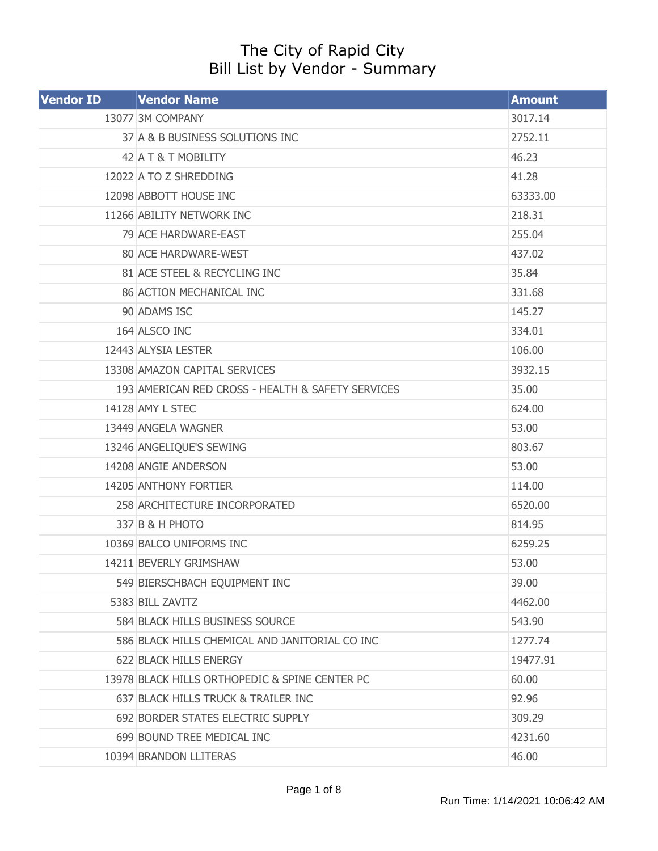## The City of Rapid City Bill List by Vendor - Summary

| <b>Vendor ID</b> | <b>Vendor Name</b>                                | <b>Amount</b> |
|------------------|---------------------------------------------------|---------------|
|                  | 13077 3M COMPANY                                  | 3017.14       |
|                  | 37 A & B BUSINESS SOLUTIONS INC                   | 2752.11       |
|                  | 42 A T & T MOBILITY                               | 46.23         |
|                  | 12022 A TO Z SHREDDING                            | 41.28         |
|                  | 12098 ABBOTT HOUSE INC                            | 63333.00      |
|                  | 11266 ABILITY NETWORK INC                         | 218.31        |
|                  | 79 ACE HARDWARE-EAST                              | 255.04        |
|                  | 80 ACE HARDWARE-WEST                              | 437.02        |
|                  | 81 ACE STEEL & RECYCLING INC                      | 35.84         |
|                  | 86 ACTION MECHANICAL INC                          | 331.68        |
|                  | 90 ADAMS ISC                                      | 145.27        |
|                  | 164 ALSCO INC                                     | 334.01        |
|                  | 12443 ALYSIA LESTER                               | 106.00        |
|                  | 13308 AMAZON CAPITAL SERVICES                     | 3932.15       |
|                  | 193 AMERICAN RED CROSS - HEALTH & SAFETY SERVICES | 35.00         |
|                  | 14128 AMY L STEC                                  | 624.00        |
|                  | 13449 ANGELA WAGNER                               | 53.00         |
|                  | 13246 ANGELIQUE'S SEWING                          | 803.67        |
|                  | 14208 ANGIE ANDERSON                              | 53.00         |
|                  | 14205 ANTHONY FORTIER                             | 114.00        |
|                  | 258 ARCHITECTURE INCORPORATED                     | 6520.00       |
|                  | 337 B & H PHOTO                                   | 814.95        |
|                  | 10369 BALCO UNIFORMS INC                          | 6259.25       |
|                  | 14211 BEVERLY GRIMSHAW                            | 53.00         |
|                  | 549 BIERSCHBACH EQUIPMENT INC                     | 39.00         |
|                  | 5383 BILL ZAVITZ                                  | 4462.00       |
|                  | 584 BLACK HILLS BUSINESS SOURCE                   | 543.90        |
|                  | 586 BLACK HILLS CHEMICAL AND JANITORIAL CO INC    | 1277.74       |
|                  | 622 BLACK HILLS ENERGY                            | 19477.91      |
|                  | 13978 BLACK HILLS ORTHOPEDIC & SPINE CENTER PC    | 60.00         |
|                  | 637 BLACK HILLS TRUCK & TRAILER INC               | 92.96         |
|                  | 692 BORDER STATES ELECTRIC SUPPLY                 | 309.29        |
|                  | 699 BOUND TREE MEDICAL INC                        | 4231.60       |
|                  | 10394 BRANDON LLITERAS                            | 46.00         |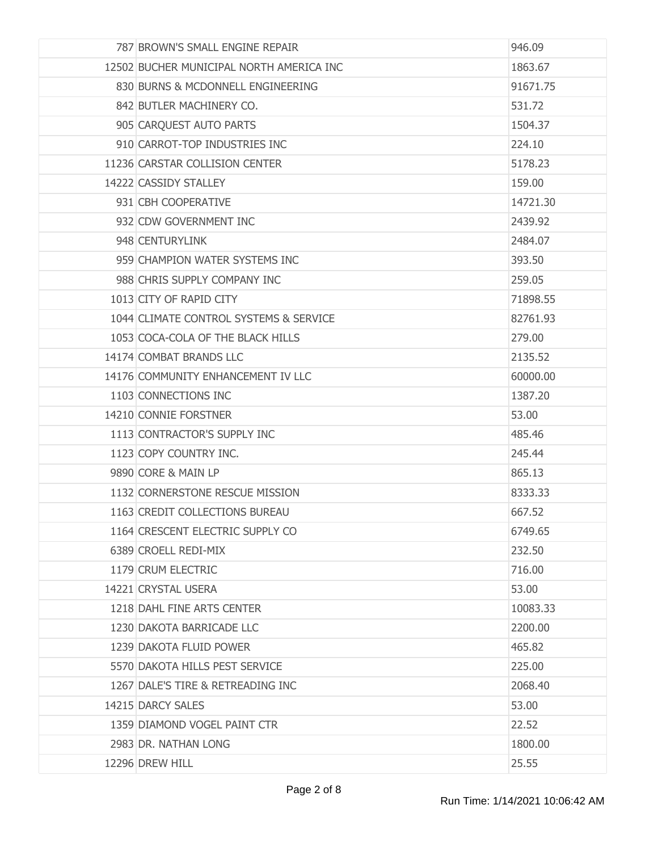| 787 BROWN'S SMALL ENGINE REPAIR          | 946.09   |
|------------------------------------------|----------|
| 12502 BUCHER MUNICIPAL NORTH AMERICA INC | 1863.67  |
| 830 BURNS & MCDONNELL ENGINEERING        | 91671.75 |
| 842 BUTLER MACHINERY CO.                 | 531.72   |
| 905 CARQUEST AUTO PARTS                  | 1504.37  |
| 910 CARROT-TOP INDUSTRIES INC            | 224.10   |
| 11236 CARSTAR COLLISION CENTER           | 5178.23  |
| 14222 CASSIDY STALLEY                    | 159.00   |
| 931 CBH COOPERATIVE                      | 14721.30 |
| 932 CDW GOVERNMENT INC                   | 2439.92  |
| 948 CENTURYLINK                          | 2484.07  |
| 959 CHAMPION WATER SYSTEMS INC           | 393.50   |
| 988 CHRIS SUPPLY COMPANY INC             | 259.05   |
| 1013 CITY OF RAPID CITY                  | 71898.55 |
| 1044 CLIMATE CONTROL SYSTEMS & SERVICE   | 82761.93 |
| 1053 COCA-COLA OF THE BLACK HILLS        | 279.00   |
| 14174 COMBAT BRANDS LLC                  | 2135.52  |
| 14176 COMMUNITY ENHANCEMENT IV LLC       | 60000.00 |
| 1103 CONNECTIONS INC                     | 1387.20  |
| 14210 CONNIE FORSTNER                    | 53.00    |
| 1113 CONTRACTOR'S SUPPLY INC             | 485.46   |
| 1123 COPY COUNTRY INC.                   | 245.44   |
| 9890 CORE & MAIN LP                      | 865.13   |
| 1132 CORNERSTONE RESCUE MISSION          | 8333.33  |
| 1163 CREDIT COLLECTIONS BUREAU           | 667.52   |
| 1164 CRESCENT ELECTRIC SUPPLY CO         | 6749.65  |
| 6389 CROELL REDI-MIX                     | 232.50   |
| 1179 CRUM ELECTRIC                       | 716.00   |
| 14221 CRYSTAL USERA                      | 53.00    |
| 1218 DAHL FINE ARTS CENTER               | 10083.33 |
| 1230 DAKOTA BARRICADE LLC                | 2200.00  |
| 1239 DAKOTA FLUID POWER                  | 465.82   |
| 5570 DAKOTA HILLS PEST SERVICE           | 225.00   |
| 1267 DALE'S TIRE & RETREADING INC        | 2068.40  |
| 14215 DARCY SALES                        | 53.00    |
| 1359 DIAMOND VOGEL PAINT CTR             | 22.52    |
| 2983 DR. NATHAN LONG                     | 1800.00  |
| 12296 DREW HILL                          | 25.55    |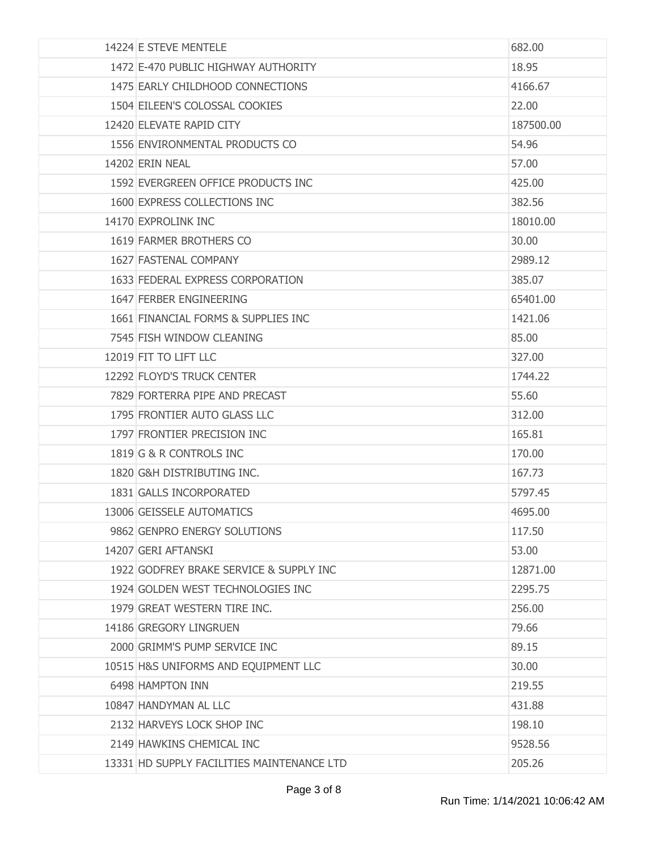| 14224 E STEVE MENTELE                      | 682.00    |
|--------------------------------------------|-----------|
| 1472 E-470 PUBLIC HIGHWAY AUTHORITY        | 18.95     |
| 1475 EARLY CHILDHOOD CONNECTIONS           | 4166.67   |
| 1504 EILEEN'S COLOSSAL COOKIES             | 22.00     |
| 12420 ELEVATE RAPID CITY                   | 187500.00 |
| 1556 ENVIRONMENTAL PRODUCTS CO             | 54.96     |
| 14202 FRIN NEAL                            | 57.00     |
| 1592 EVERGREEN OFFICE PRODUCTS INC         | 425.00    |
| 1600 EXPRESS COLLECTIONS INC               | 382.56    |
| 14170 EXPROLINK INC                        | 18010.00  |
| 1619 FARMER BROTHERS CO                    | 30.00     |
| 1627 FASTENAL COMPANY                      | 2989.12   |
| 1633 FEDERAL EXPRESS CORPORATION           | 385.07    |
| 1647 FERBER ENGINEERING                    | 65401.00  |
| 1661 FINANCIAL FORMS & SUPPLIES INC        | 1421.06   |
| 7545 FISH WINDOW CLEANING                  | 85.00     |
| 12019 FIT TO LIFT LLC                      | 327.00    |
| 12292 FLOYD'S TRUCK CENTER                 | 1744.22   |
| 7829 FORTERRA PIPE AND PRECAST             | 55.60     |
| 1795 FRONTIER AUTO GLASS LLC               | 312.00    |
| 1797 FRONTIER PRECISION INC                | 165.81    |
| 1819 G & R CONTROLS INC                    | 170.00    |
| 1820 G&H DISTRIBUTING INC.                 | 167.73    |
| 1831 GALLS INCORPORATED                    | 5797.45   |
| 13006 GEISSELE AUTOMATICS                  | 4695.00   |
| 9862 GENPRO ENERGY SOLUTIONS               | 117.50    |
| 14207 GERI AFTANSKI                        | 53.00     |
| 1922 GODFREY BRAKE SERVICE & SUPPLY INC    | 12871.00  |
| 1924 GOLDEN WEST TECHNOLOGIES INC          | 2295.75   |
| 1979 GREAT WESTERN TIRE INC.               | 256.00    |
| 14186 GREGORY LINGRUEN                     | 79.66     |
| 2000 GRIMM'S PUMP SERVICE INC              | 89.15     |
| 10515 H&S UNIFORMS AND EQUIPMENT LLC       | 30.00     |
| 6498 HAMPTON INN                           | 219.55    |
| 10847 HANDYMAN AL LLC                      | 431.88    |
| 2132 HARVEYS LOCK SHOP INC                 | 198.10    |
| 2149 HAWKINS CHEMICAL INC                  | 9528.56   |
| 13331 HD SUPPLY FACILITIES MAINTENANCE LTD | 205.26    |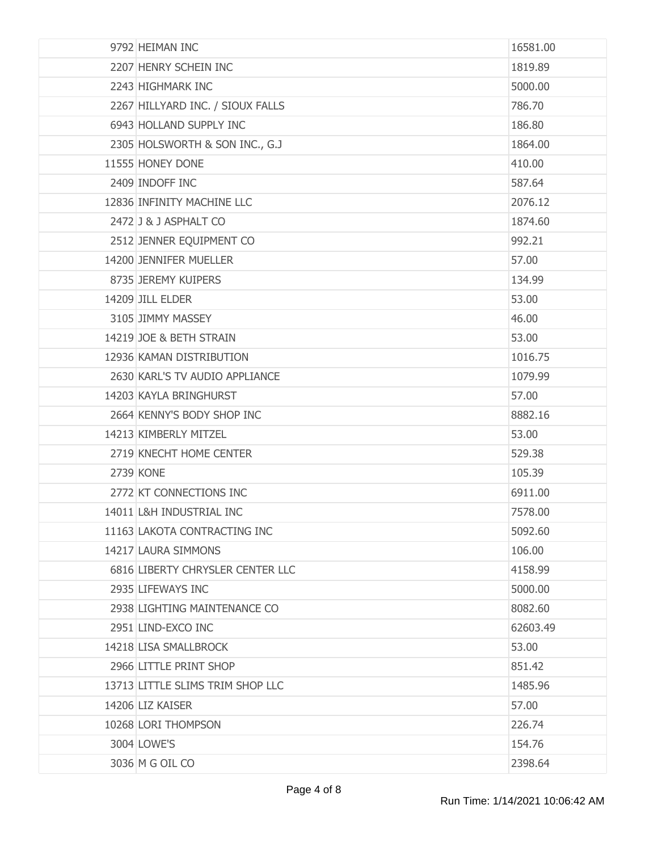| 9792 HEIMAN INC                  | 16581.00 |
|----------------------------------|----------|
| 2207 HENRY SCHEIN INC            | 1819.89  |
| 2243 HIGHMARK INC                | 5000.00  |
| 2267 HILLYARD INC. / SIOUX FALLS | 786.70   |
| 6943 HOLLAND SUPPLY INC          | 186.80   |
| 2305 HOLSWORTH & SON INC., G.J   | 1864.00  |
| 11555 HONEY DONE                 | 410.00   |
| 2409 INDOFF INC                  | 587.64   |
| 12836 INFINITY MACHINE LLC       | 2076.12  |
| 2472 J & J ASPHALT CO            | 1874.60  |
| 2512 JENNER EQUIPMENT CO         | 992.21   |
| 14200 JENNIFER MUELLER           | 57.00    |
| 8735 JEREMY KUIPERS              | 134.99   |
| 14209 JILL ELDER                 | 53.00    |
| 3105 JIMMY MASSEY                | 46.00    |
| 14219 JOE & BETH STRAIN          | 53.00    |
| 12936 KAMAN DISTRIBUTION         | 1016.75  |
| 2630 KARL'S TV AUDIO APPLIANCE   | 1079.99  |
| 14203 KAYLA BRINGHURST           | 57.00    |
| 2664 KENNY'S BODY SHOP INC       | 8882.16  |
| 14213 KIMBERLY MITZEL            | 53.00    |
| 2719 KNECHT HOME CENTER          | 529.38   |
| <b>2739 KONE</b>                 | 105.39   |
| 2772 KT CONNECTIONS INC          | 6911.00  |
| 14011 L&H INDUSTRIAL INC         | 7578.00  |
| 11163 LAKOTA CONTRACTING INC     | 5092.60  |
| 14217 LAURA SIMMONS              | 106.00   |
| 6816 LIBERTY CHRYSLER CENTER LLC | 4158.99  |
| 2935 LIFEWAYS INC                | 5000.00  |
| 2938 LIGHTING MAINTENANCE CO     | 8082.60  |
| 2951 LIND-EXCO INC               | 62603.49 |
| 14218 LISA SMALLBROCK            | 53.00    |
| 2966 LITTLE PRINT SHOP           | 851.42   |
| 13713 LITTLE SLIMS TRIM SHOP LLC | 1485.96  |
| 14206 LIZ KAISER                 | 57.00    |
| 10268 LORI THOMPSON              | 226.74   |
| 3004 LOWE'S                      | 154.76   |
| 3036 M G OIL CO                  | 2398.64  |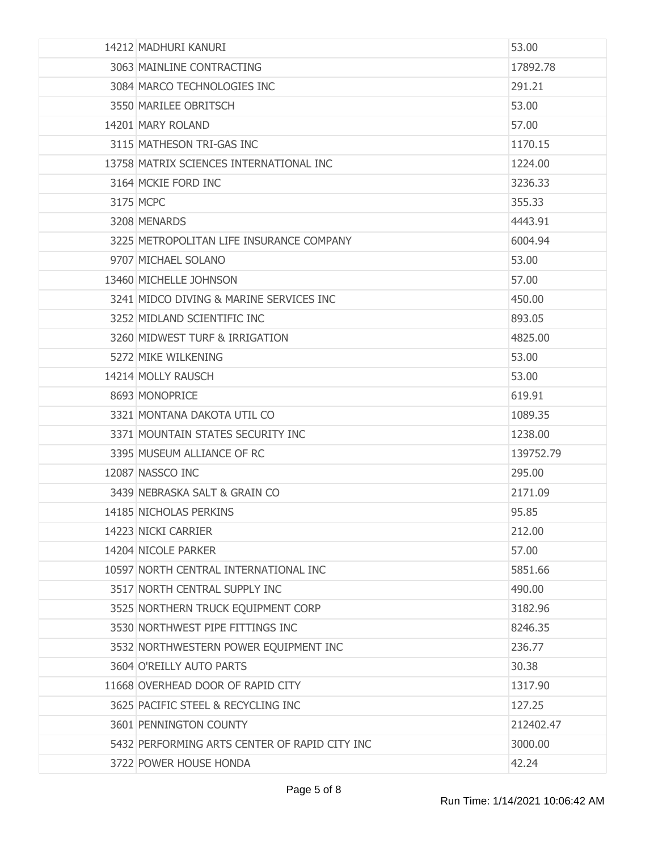| 14212 MADHURI KANURI                          | 53.00     |
|-----------------------------------------------|-----------|
| 3063 MAINLINE CONTRACTING                     | 17892.78  |
| 3084 MARCO TECHNOLOGIES INC                   | 291.21    |
| 3550 MARILEE OBRITSCH                         | 53.00     |
| 14201 MARY ROLAND                             | 57.00     |
| 3115 MATHESON TRI-GAS INC                     | 1170.15   |
| 13758 MATRIX SCIENCES INTERNATIONAL INC       | 1224.00   |
| 3164 MCKIE FORD INC                           | 3236.33   |
| 3175 MCPC                                     | 355.33    |
| 3208 MENARDS                                  | 4443.91   |
| 3225 METROPOLITAN LIFE INSURANCE COMPANY      | 6004.94   |
| 9707 MICHAEL SOLANO                           | 53.00     |
| 13460 MICHELLE JOHNSON                        | 57.00     |
| 3241 MIDCO DIVING & MARINE SERVICES INC       | 450.00    |
| 3252 MIDLAND SCIENTIFIC INC                   | 893.05    |
| 3260 MIDWEST TURF & IRRIGATION                | 4825,00   |
| 5272 MIKE WILKENING                           | 53.00     |
| 14214 MOLLY RAUSCH                            | 53.00     |
| 8693 MONOPRICE                                | 619.91    |
| 3321 MONTANA DAKOTA UTIL CO                   | 1089.35   |
| 3371 MOUNTAIN STATES SECURITY INC             | 1238.00   |
| 3395 MUSEUM ALLIANCE OF RC                    | 139752.79 |
| 12087 NASSCO INC                              | 295.00    |
| 3439 NEBRASKA SALT & GRAIN CO                 | 2171.09   |
| 14185 NICHOLAS PERKINS                        | 95.85     |
| 14223 NICKI CARRIER                           | 212.00    |
| 14204 NICOLE PARKER                           | 57.00     |
| 10597 NORTH CENTRAL INTERNATIONAL INC         | 5851.66   |
| 3517 NORTH CENTRAL SUPPLY INC                 | 490.00    |
| 3525 NORTHERN TRUCK EQUIPMENT CORP            | 3182.96   |
| 3530 NORTHWEST PIPE FITTINGS INC              | 8246.35   |
| 3532 NORTHWESTERN POWER EQUIPMENT INC         | 236.77    |
| 3604 O'REILLY AUTO PARTS                      | 30.38     |
| 11668 OVERHEAD DOOR OF RAPID CITY             | 1317.90   |
| 3625 PACIFIC STEEL & RECYCLING INC            | 127.25    |
| 3601 PENNINGTON COUNTY                        | 212402.47 |
| 5432 PERFORMING ARTS CENTER OF RAPID CITY INC | 3000.00   |
| 3722 POWER HOUSE HONDA                        | 42.24     |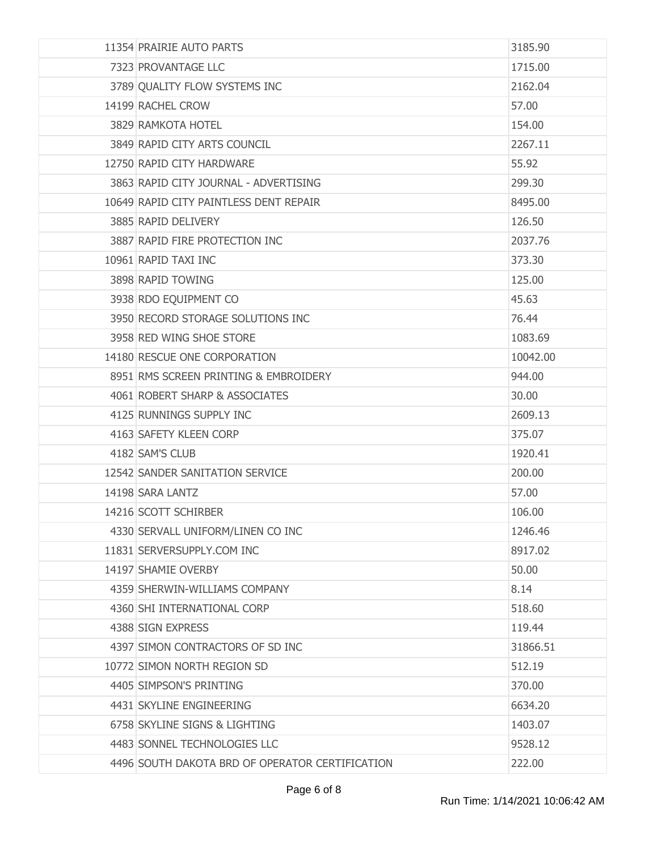| 11354 PRAIRIE AUTO PARTS                        | 3185.90  |
|-------------------------------------------------|----------|
| 7323 PROVANTAGE LLC                             | 1715.00  |
| 3789 QUALITY FLOW SYSTEMS INC                   | 2162.04  |
| 14199 RACHEL CROW                               | 57.00    |
| 3829 RAMKOTA HOTEL                              | 154.00   |
| 3849 RAPID CITY ARTS COUNCIL                    | 2267.11  |
| 12750 RAPID CITY HARDWARE                       | 55.92    |
| 3863 RAPID CITY JOURNAL - ADVERTISING           | 299.30   |
| 10649 RAPID CITY PAINTLESS DENT REPAIR          | 8495.00  |
| 3885 RAPID DELIVERY                             | 126.50   |
| 3887 RAPID FIRE PROTECTION INC                  | 2037.76  |
| 10961 RAPID TAXI INC                            | 373.30   |
| 3898 RAPID TOWING                               | 125.00   |
| 3938 RDO EQUIPMENT CO                           | 45.63    |
| 3950 RECORD STORAGE SOLUTIONS INC               | 76.44    |
| 3958 RED WING SHOE STORE                        | 1083.69  |
| 14180 RESCUE ONE CORPORATION                    | 10042.00 |
| 8951 RMS SCREEN PRINTING & EMBROIDERY           | 944.00   |
| 4061 ROBERT SHARP & ASSOCIATES                  | 30.00    |
| 4125 RUNNINGS SUPPLY INC                        | 2609.13  |
| 4163 SAFETY KLEEN CORP                          | 375.07   |
| 4182 SAM'S CLUB                                 | 1920.41  |
| 12542 SANDER SANITATION SERVICE                 | 200.00   |
| 14198 SARA LANTZ                                | 57.00    |
| 14216 SCOTT SCHIRBER                            | 106.00   |
| 4330 SERVALL UNIFORM/LINEN CO INC               | 1246.46  |
| 11831 SERVERSUPPLY.COM INC                      | 8917.02  |
| 14197 SHAMIE OVERBY                             | 50.00    |
| 4359 SHERWIN-WILLIAMS COMPANY                   | 8.14     |
| 4360 SHI INTERNATIONAL CORP                     | 518.60   |
| 4388 SIGN EXPRESS                               | 119.44   |
| 4397 SIMON CONTRACTORS OF SD INC                | 31866.51 |
| 10772 SIMON NORTH REGION SD                     | 512.19   |
| 4405 SIMPSON'S PRINTING                         | 370.00   |
| 4431 SKYLINE ENGINEERING                        | 6634.20  |
| 6758 SKYLINE SIGNS & LIGHTING                   | 1403.07  |
| 4483 SONNEL TECHNOLOGIES LLC                    | 9528.12  |
| 4496 SOUTH DAKOTA BRD OF OPERATOR CERTIFICATION | 222.00   |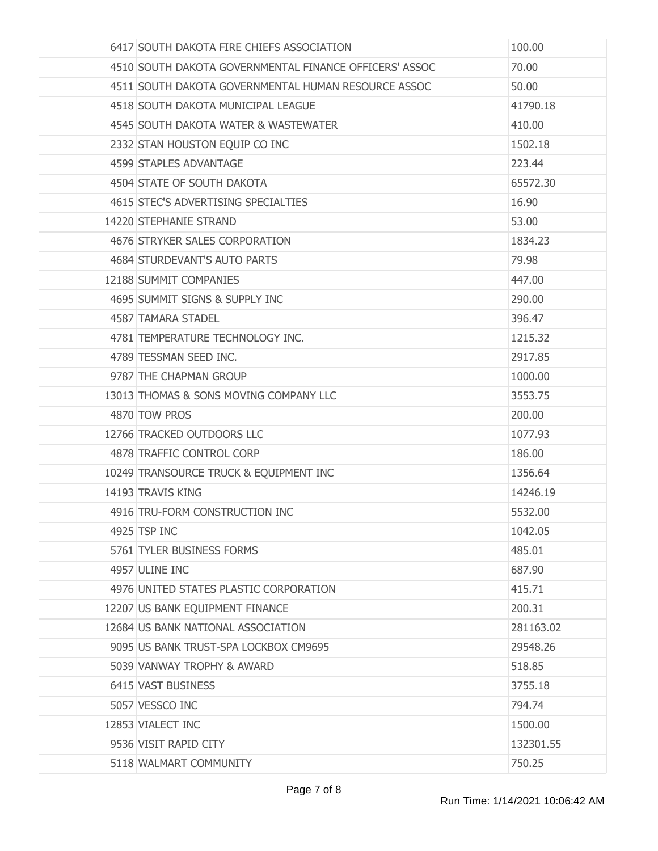| 6417 SOUTH DAKOTA FIRE CHIEFS ASSOCIATION              | 100.00    |
|--------------------------------------------------------|-----------|
| 4510 SOUTH DAKOTA GOVERNMENTAL FINANCE OFFICERS' ASSOC | 70.00     |
| 4511 SOUTH DAKOTA GOVERNMENTAL HUMAN RESOURCE ASSOC    | 50.00     |
| 4518 SOUTH DAKOTA MUNICIPAL LEAGUE                     | 41790.18  |
| 4545 SOUTH DAKOTA WATER & WASTEWATER                   | 410.00    |
| 2332 STAN HOUSTON EQUIP CO INC                         | 1502.18   |
| 4599 STAPLES ADVANTAGE                                 | 223.44    |
| 4504 STATE OF SOUTH DAKOTA                             | 65572.30  |
| 4615 STEC'S ADVERTISING SPECIALTIES                    | 16.90     |
| 14220 STEPHANIE STRAND                                 | 53.00     |
| 4676 STRYKER SALES CORPORATION                         | 1834.23   |
| 4684 STURDEVANT'S AUTO PARTS                           | 79.98     |
| 12188 SUMMIT COMPANIES                                 | 447.00    |
| 4695 SUMMIT SIGNS & SUPPLY INC                         | 290,00    |
| 4587 TAMARA STADEL                                     | 396.47    |
| 4781 TEMPERATURE TECHNOLOGY INC.                       | 1215.32   |
| 4789 TESSMAN SEED INC.                                 | 2917.85   |
| 9787 THE CHAPMAN GROUP                                 | 1000.00   |
| 13013 THOMAS & SONS MOVING COMPANY LLC                 | 3553.75   |
| 4870 TOW PROS                                          | 200.00    |
| 12766 TRACKED OUTDOORS LLC                             | 1077.93   |
| 4878 TRAFFIC CONTROL CORP                              | 186.00    |
| 10249 TRANSOURCE TRUCK & EQUIPMENT INC                 | 1356.64   |
| 14193 TRAVIS KING                                      | 14246.19  |
| 4916 TRU-FORM CONSTRUCTION INC                         | 5532.00   |
| 4925 TSP INC                                           | 1042.05   |
| 5761 TYLER BUSINESS FORMS                              | 485.01    |
| 4957 ULINE INC                                         | 687.90    |
| 4976 UNITED STATES PLASTIC CORPORATION                 | 415.71    |
| 12207 US BANK EQUIPMENT FINANCE                        | 200.31    |
| 12684 US BANK NATIONAL ASSOCIATION                     | 281163.02 |
| 9095 US BANK TRUST-SPA LOCKBOX CM9695                  | 29548.26  |
| 5039 VANWAY TROPHY & AWARD                             | 518.85    |
| 6415 VAST BUSINESS                                     | 3755.18   |
| 5057 VESSCO INC                                        | 794.74    |
| 12853 VIALECT INC                                      | 1500.00   |
| 9536 VISIT RAPID CITY                                  | 132301.55 |
| 5118 WALMART COMMUNITY                                 | 750.25    |